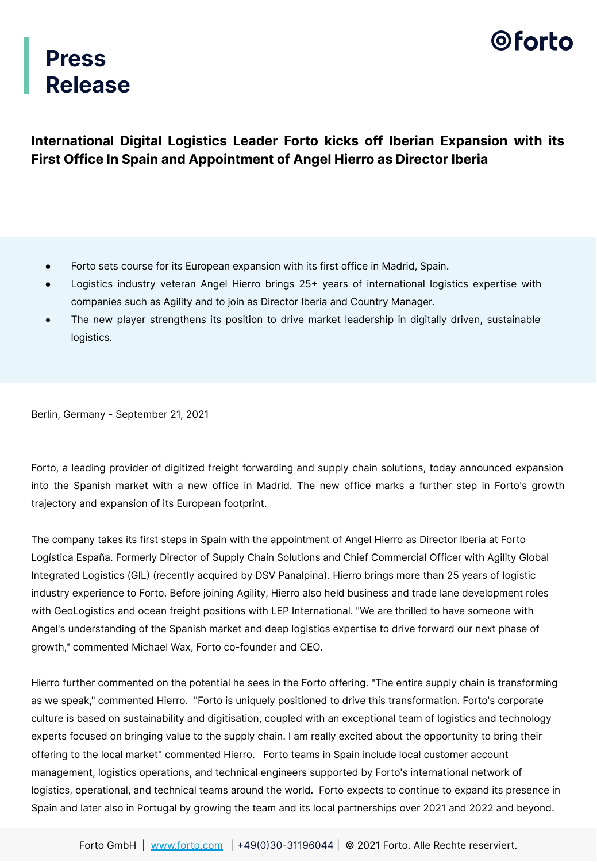

### **Press Release**

**International Digital Logistics Leader Forto kicks off Iberian Expansion with its First Office In Spain and Appointment of Angel Hierro as Director Iberia**

- Forto sets course for its European expansion with its first office in Madrid, Spain.
- Logistics industry veteran Angel Hierro brings 25+ years of international logistics expertise with companies such as Agility and to join as Director Iberia and Country Manager.
- The new player strengthens its position to drive market leadership in digitally driven, sustainable logistics.

Berlin, Germany - September 21, 2021

Forto, a leading provider of digitized freight forwarding and supply chain solutions, today announced expansion into the Spanish market with a new office in Madrid. The new office marks a further step in Forto's growth trajectory and expansion of its European footprint.

The company takes its first steps in Spain with the appointment of Angel Hierro as Director Iberia at Forto Logística España. Formerly Director of Supply Chain Solutions and Chief Commercial Officer with Agility Global Integrated Logistics (GIL (recently acquired by DSV Panalpina). Hierro brings more than 25 years of logistic industry experience to Forto. Before joining Agility, Hierro also held business and trade lane development roles with GeoLogistics and ocean freight positions with LEP International. "We are thrilled to have someone with Angel's understanding of the Spanish market and deep logistics expertise to drive forward our next phase of growth," commented Michael Wax, Forto co-founder and CEO.

Hierro further commented on the potential he sees in the Forto offering. "The entire supply chain is transforming as we speak," commented Hierro. "Forto is uniquely positioned to drive this transformation. Forto's corporate culture is based on sustainability and digitisation, coupled with an exceptional team of logistics and technology experts focused on bringing value to the supply chain. I am really excited about the opportunity to bring their offering to the local market" commented Hierro. Forto teams in Spain include local customer account management, logistics operations, and technical engineers supported by Forto's international network of logistics, operational, and technical teams around the world. Forto expects to continue to expand its presence in Spain and later also in Portugal by growing the team and its local partnerships over 2021 and 2022 and beyond.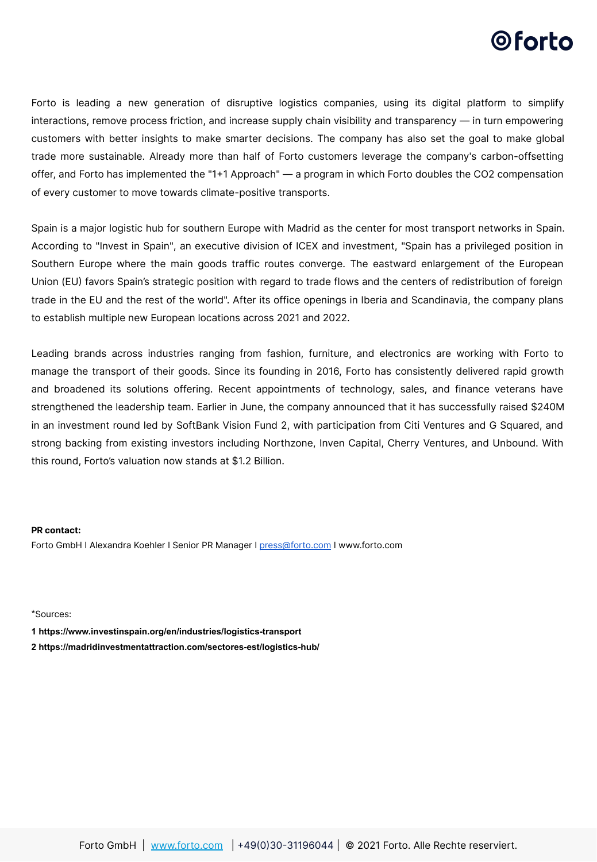## 0 forto

Forto is leading a new generation of disruptive logistics companies, using its digital platform to simplify interactions, remove process friction, and increase supply chain visibility and transparency — in turn empowering customers with better insights to make smarter decisions. The company has also set the goal to make global trade more sustainable. Already more than half of Forto customers leverage the company's carbon-offsetting offer, and Forto has implemented the "11 Approach" — a program in which Forto doubles the CO2 compensation of every customer to move towards climate-positive transports.

Spain is a major logistic hub for southern Europe with Madrid as the center for most transport networks in Spain. According to "Invest in Spain", an executive division of ICEX and investment, "Spain has a privileged position in Southern Europe where the main goods traffic routes converge. The eastward enlargement of the European Union (EU) favors Spain's strategic position with regard to trade flows and the centers of redistribution of foreign trade in the EU and the rest of the world". After its office openings in Iberia and Scandinavia, the company plans to establish multiple new European locations across 2021 and 2022.

Leading brands across industries ranging from fashion, furniture, and electronics are working with Forto to manage the transport of their goods. Since its founding in 2016, Forto has consistently delivered rapid growth and broadened its solutions offering. Recent appointments of technology, sales, and finance veterans have strengthened the leadership team. Earlier in June, the company announced that it has successfully raised \$240M in an investment round led by SoftBank Vision Fund 2, with participation from Citi Ventures and G Squared, and strong backing from existing investors including Northzone, Inven Capital, Cherry Ventures, and Unbound. With this round, Forto's valuation now stands at \$1.2 Billion.

#### **PR contact:**

Forto GmbH I Alexandra Koehler I Senior PR Manager I [press@forto.com](mailto:press@forto.com) I www.forto.com

\*Sources:

**1<https://www.investinspain.org/en/industries/logistics-transport>**

**2<https://madridinvestmentattraction.com/sectores-est/logistics-hub/>**